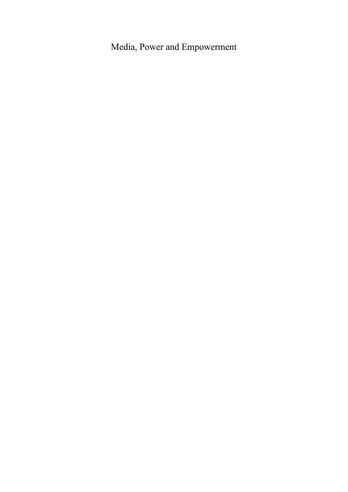# Media, Power and Empowerment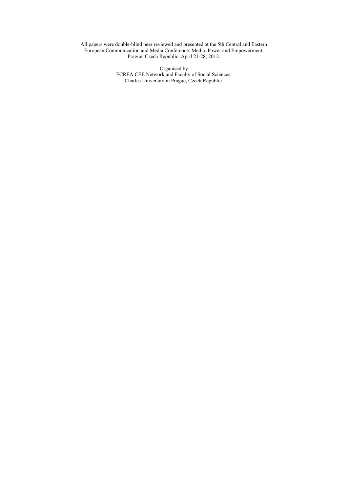All papers were double-blind peer reviewed and presented at the 5th Central and Eastern European Communication and Media Conference: Media, Power and Empowerment, Prague, Czech Republic, April 21-28, 2012.

> Organised by ECREA CEE Network and Faculty of Social Sciences, Charles University in Prague, Czech Republic.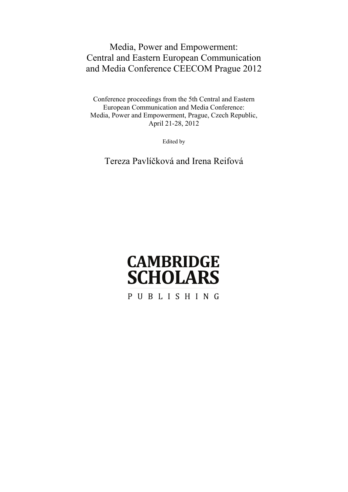# Media, Power and Empowerment: Central and Eastern European Communication and Media Conference CEECOM Prague 2012

Conference proceedings from the 5th Central and Eastern European Communication and Media Conference: Media, Power and Empowerment, Prague, Czech Republic, April 21-28, 2012

Edited by

Tereza Pavlíčková and Irena Reifová

# **CAMBRIDGE SCHOLARS**

PUBLISHING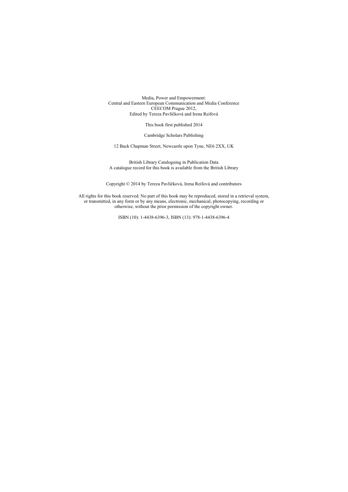Media, Power and Empowerment: Central and Eastern European Communication and Media Conference CEECOM Prague 2012, Edited by Tereza Pavlíčková and Irena Reifová

This book first published 2014

Cambridge Scholars Publishing

12 Back Chapman Street, Newcastle upon Tyne, NE6 2XX, UK

British Library Cataloguing in Publication Data A catalogue record for this book is available from the British Library

Copyright © 2014 by Tereza Pavlíčková, Irena Reifová and contributors

All rights for this book reserved. No part of this book may be reproduced, stored in a retrieval system, or transmitted, in any form or by any means, electronic, mechanical, photocopying, recording or otherwise, without the prior permission of the copyright owner.

ISBN (10): 1-4438-6396-3, ISBN (13): 978-1-4438-6396-4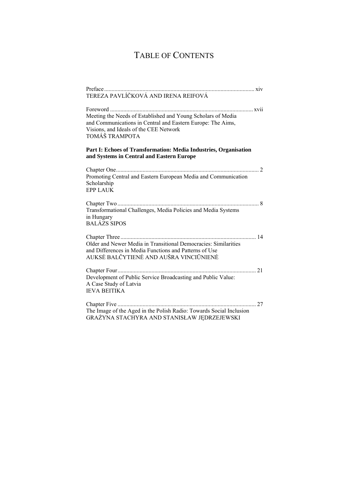# TABLE OF CONTENTS

| TEREZA PAVLÍČKOVÁ AND IRENA REIFOVÁ                                                                                                                                                     |
|-----------------------------------------------------------------------------------------------------------------------------------------------------------------------------------------|
| Meeting the Needs of Established and Young Scholars of Media<br>and Communications in Central and Eastern Europe: The Aims,<br>Visions, and Ideals of the CEE Network<br>TOMÁŠ TRAMPOTA |
| Part I: Echoes of Transformation: Media Industries, Organisation<br>and Systems in Central and Eastern Europe                                                                           |
|                                                                                                                                                                                         |
| Promoting Central and Eastern European Media and Communication<br>Scholarship<br><b>EPP LAUK</b>                                                                                        |
|                                                                                                                                                                                         |
| Transformational Challenges, Media Policies and Media Systems<br>in Hungary<br><b>BALÁZS SIPOS</b>                                                                                      |
|                                                                                                                                                                                         |
| Older and Newer Media in Transitional Democracies: Similarities<br>and Differences in Media Functions and Patterns of Use<br>AUKSĖ BALČYTIENĖ AND AUŠRA VINCIŪNIENĖ                     |
|                                                                                                                                                                                         |
| Development of Public Service Broadcasting and Public Value:<br>A Case Study of Latvia<br><b>IEVA BEITIKA</b>                                                                           |
|                                                                                                                                                                                         |
| The Image of the Aged in the Polish Radio: Towards Social Inclusion<br>GRAŻYNA STACHYRA AND STANISŁAW JĘDRZEJEWSKI                                                                      |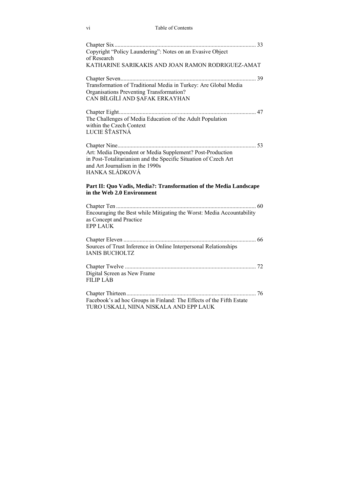#### vi Table of Contents

| Copyright "Policy Laundering": Notes on an Evasive Object<br>of Research                                                                                                          |
|-----------------------------------------------------------------------------------------------------------------------------------------------------------------------------------|
| KATHARINE SARIKAKIS AND JOAN RAMON RODRIGUEZ-AMAT                                                                                                                                 |
| Transformation of Traditional Media in Turkey: Are Global Media<br>Organisations Preventing Transformation?<br>CAN BİLGİLİ AND ŞAFAK ERKAYHAN                                     |
| The Challenges of Media Education of the Adult Population<br>within the Czech Context<br>LUCIE ŠŤASTNÁ                                                                            |
| Art: Media Dependent or Media Supplement? Post-Production<br>in Post-Totalitarianism and the Specific Situation of Czech Art<br>and Art Journalism in the 1990s<br>HANKA SLÁDKOVÁ |
|                                                                                                                                                                                   |
| Part II: Quo Vadis, Media?: Transformation of the Media Landscape<br>in the Web 2.0 Environment                                                                                   |
| Encouraging the Best while Mitigating the Worst: Media Accountability<br>as Concept and Practice<br><b>EPP LAUK</b>                                                               |
| Sources of Trust Inference in Online Interpersonal Relationships<br><b>IANIS BUCHOLTZ</b>                                                                                         |
| Digital Screen as New Frame<br>FILIP LÁB                                                                                                                                          |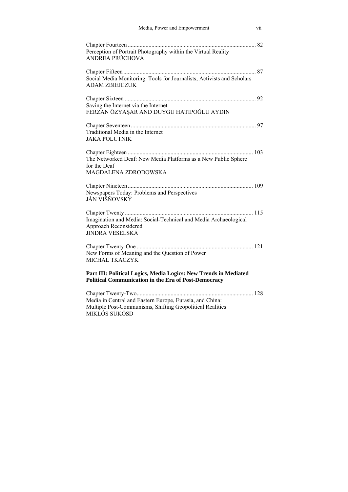| Media, Power and Empowerment                                                                                                    | vii |
|---------------------------------------------------------------------------------------------------------------------------------|-----|
| Perception of Portrait Photography within the Virtual Reality<br>ANDREA PRŮCHOVÁ                                                |     |
| Social Media Monitoring: Tools for Journalists, Activists and Scholars<br><b>ADAM ZBIEJCZUK</b>                                 |     |
| Saving the Internet via the Internet<br>FERZAN ÖZYAŞAR AND DUYGU HATIPOĞLU AYDIN                                                |     |
| Traditional Media in the Internet<br><b>JAKA POLUTNIK</b>                                                                       |     |
| The Networked Deaf: New Media Platforms as a New Public Sphere<br>for the Deaf<br>MAGDALENA ZDRODOWSKA                          |     |
| Newspapers Today: Problems and Perspectives<br>JÁN VIŠŇOVSKÝ                                                                    |     |
| Imagination and Media: Social-Technical and Media Archaeological<br>Approach Reconsidered<br><b>JINDRA VESELSKÁ</b>             |     |
| New Forms of Meaning and the Question of Power<br>MICHAL TKACZYK                                                                |     |
| Part III: Political Logics, Media Logics: New Trends in Mediated<br><b>Political Communication in the Era of Post-Democracy</b> |     |
|                                                                                                                                 |     |
| Media in Central and Eastern Europe, Eurasia, and China:<br>Multiple Post-Communisms, Shifting Geopolitical Realities           |     |

MIKLÓS SÜKÖSD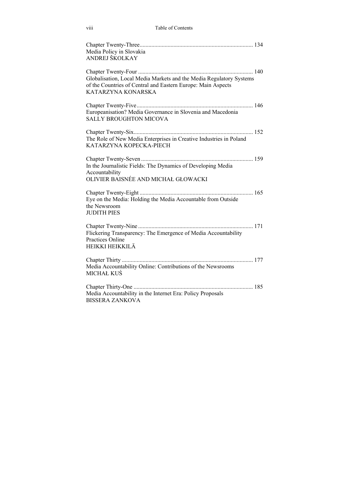| Media Policy in Slovakia<br>ANDREJ ŠKOLKAY                                                                                                                |  |
|-----------------------------------------------------------------------------------------------------------------------------------------------------------|--|
| Globalisation, Local Media Markets and the Media Regulatory Systems<br>of the Countries of Central and Eastern Europe: Main Aspects<br>KATARZYNA KONARSKA |  |
| Europeanisation? Media Governance in Slovenia and Macedonia<br><b>SALLY BROUGHTON MICOVA</b>                                                              |  |
| The Role of New Media Enterprises in Creative Industries in Poland<br>KATARZYNA KOPECKA-PIECH                                                             |  |
| In the Journalistic Fields: The Dynamics of Developing Media<br>Accountability<br>OLIVIER BAISNÉE AND MICHAŁ GŁOWACKI                                     |  |
| Eye on the Media: Holding the Media Accountable from Outside<br>the Newsroom<br><b>JUDITH PIES</b>                                                        |  |
| Flickering Transparency: The Emergence of Media Accountability<br>Practices Online<br>HEIKKI HEIKKILÄ                                                     |  |
| Media Accountability Online: Contributions of the Newsrooms<br>MICHAŁ KUŚ                                                                                 |  |
| Media Accountability in the Internet Era: Policy Proposals<br><b>BISSERA ZANKOVA</b>                                                                      |  |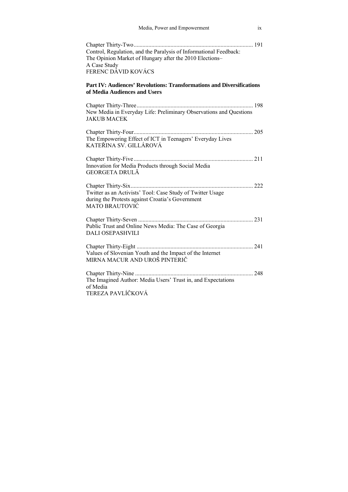Chapter Thirty-Two ................................................................................. 191 Control, Regulation, and the Paralysis of Informational Feedback: The Opinion Market of Hungary after the 2010 Elections– A Case Study FERENC DÁVID KOVÁCS

#### **Part IV: Audiences' Revolutions: Transformations and Diversifications of Media Audiences and Users**

| . 198<br>New Media in Everyday Life: Preliminary Observations and Questions<br><b>JAKUB MACEK</b>                                                              |     |
|----------------------------------------------------------------------------------------------------------------------------------------------------------------|-----|
| The Empowering Effect of ICT in Teenagers' Everyday Lives<br>KATEŘINA SV. GILLÁROVÁ                                                                            |     |
| Innovation for Media Products through Social Media<br><b>GEORGETA DRULĂ</b>                                                                                    |     |
| Chapter Thirty-Six.<br>Twitter as an Activists' Tool: Case Study of Twitter Usage<br>during the Protests against Croatia's Government<br><b>MATO BRAUTOVIĆ</b> |     |
| Public Trust and Online News Media: The Case of Georgia<br>DALI OSEPASHVILI                                                                                    |     |
| Values of Slovenian Youth and the Impact of the Internet<br>MIRNA MACUR AND UROŠ PINTERIČ                                                                      |     |
| The Imagined Author: Media Users' Trust in, and Expectations<br>of Media<br>TEREZA PAVLÍČKOVÁ                                                                  | 248 |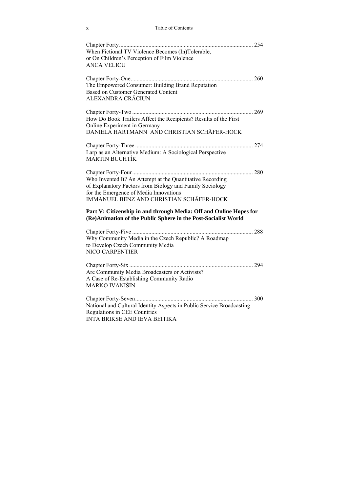#### x Table of Contents

| When Fictional TV Violence Becomes (In)Tolerable,                     |  |
|-----------------------------------------------------------------------|--|
| or On Children's Perception of Film Violence                          |  |
| <b>ANCA VELICU</b>                                                    |  |
|                                                                       |  |
|                                                                       |  |
| The Empowered Consumer: Building Brand Reputation                     |  |
| <b>Based on Customer Generated Content</b>                            |  |
| ALEXANDRA CRĂCIUN                                                     |  |
|                                                                       |  |
|                                                                       |  |
| How Do Book Trailers Affect the Recipients? Results of the First      |  |
| Online Experiment in Germany                                          |  |
| DANIELA HARTMANN AND CHRISTIAN SCHÄFER-HOCK                           |  |
|                                                                       |  |
| Larp as an Alternative Medium: A Sociological Perspective             |  |
| <b>MARTIN BUCHTÍK</b>                                                 |  |
|                                                                       |  |
|                                                                       |  |
| Who Invented It? An Attempt at the Quantitative Recording             |  |
| of Explanatory Factors from Biology and Family Sociology              |  |
| for the Emergence of Media Innovations                                |  |
| IMMANUEL BENZ AND CHRISTIAN SCHÄFER-HOCK                              |  |
|                                                                       |  |
| Part V: Citizenship in and through Media: Off and Online Hopes for    |  |
| (Re)Animation of the Public Sphere in the Post-Socialist World        |  |
|                                                                       |  |
| Why Community Media in the Czech Republic? A Roadmap                  |  |
| to Develop Czech Community Media                                      |  |
| NICO CARPENTIER                                                       |  |
|                                                                       |  |
|                                                                       |  |
| Are Community Media Broadcasters or Activists?                        |  |
| A Case of Re-Establishing Community Radio                             |  |
| MARKO IVANIŠIN                                                        |  |
|                                                                       |  |
|                                                                       |  |
| National and Cultural Identity Aspects in Public Service Broadcasting |  |
| Regulations in CEE Countries                                          |  |
| <b>INTA BRIKSE AND IEVA BEITIKA</b>                                   |  |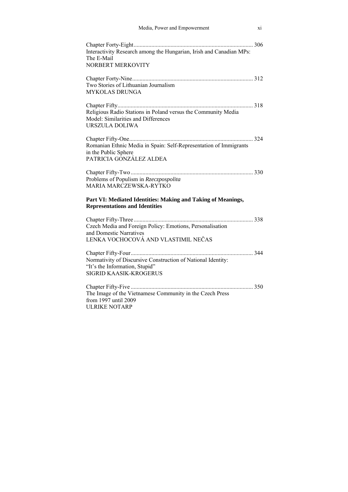| Interactivity Research among the Hungarian, Irish and Canadian MPs:<br>The E-Mail<br>NORBERT MERKOVITY                      |  |
|-----------------------------------------------------------------------------------------------------------------------------|--|
| Two Stories of Lithuanian Journalism<br><b>MYKOLAS DRUNGA</b>                                                               |  |
| Religious Radio Stations in Poland versus the Community Media<br>Model: Similarities and Differences<br>URSZULA DOLIWA      |  |
| Romanian Ethnic Media in Spain: Self-Representation of Immigrants<br>in the Public Sphere<br>PATRICIA GONZÁLEZ ALDEA        |  |
| Problems of Populism in Rzeczpospolita<br>MARIA MARCZEWSKA-RYTKO                                                            |  |
| Part VI: Mediated Identities: Making and Taking of Meanings,<br><b>Representations and Identities</b>                       |  |
| Czech Media and Foreign Policy: Emotions, Personalisation<br>and Domestic Narratives<br>LENKA VOCHOCOVÁ AND VLASTIMIL NEČAS |  |
| Normativity of Discursive Construction of National Identity:<br>"It's the Information, Stupid"<br>SIGRID KAASIK-KROGERUS    |  |
| The Image of the Vietnamese Community in the Czech Press<br>from 1997 until 2009<br><b>ULRIKE NOTARP</b>                    |  |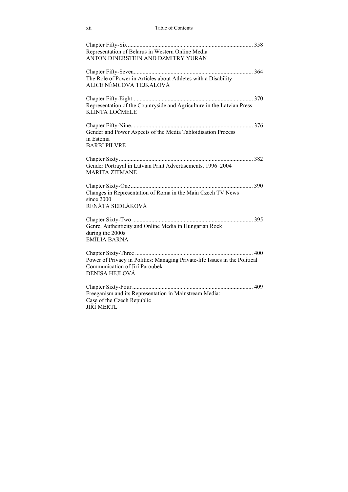#### xii Table of Contents

| Representation of Belarus in Western Online Media<br>ANTON DINERSTEIN AND DZMITRY YURAN                                         |  |
|---------------------------------------------------------------------------------------------------------------------------------|--|
| The Role of Power in Articles about Athletes with a Disability<br>ALICE NĚMCOVÁ TEJKALOVÁ                                       |  |
| Representation of the Countryside and Agriculture in the Latvian Press<br>KLINTA LOČMELE                                        |  |
| Gender and Power Aspects of the Media Tabloidisation Process<br>in Estonia<br><b>BARBI PILVRE</b>                               |  |
| Gender Portrayal in Latvian Print Advertisements, 1996-2004<br><b>MARITA ZITMANE</b>                                            |  |
| Changes in Representation of Roma in the Main Czech TV News<br>since 2000<br>RENÁTA SEDLÁKOVÁ                                   |  |
| Genre, Authenticity and Online Media in Hungarian Rock<br>during the 2000s<br><b>EMÍLIA BARNA</b>                               |  |
| Power of Privacy in Politics: Managing Private-life Issues in the Political<br>Communication of Jiří Paroubek<br>DENISA HEJLOVÁ |  |
| Freeganism and its Representation in Mainstream Media:<br>Case of the Czech Republic<br>JIŘÍ MERTL                              |  |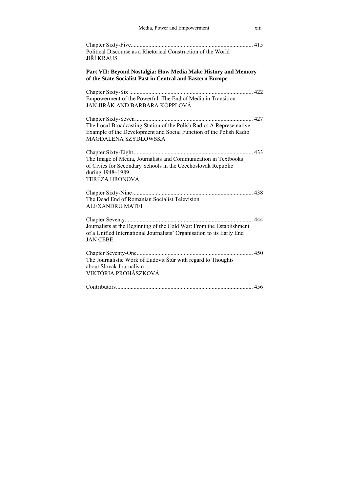| Political Discourse as a Rhetorical Construction of the World<br>JIŘÍ KRAUS                                                                                                 |  |
|-----------------------------------------------------------------------------------------------------------------------------------------------------------------------------|--|
| Part VII: Beyond Nostalgia: How Media Make History and Memory<br>of the State Socialist Past in Central and Eastern Europe                                                  |  |
| Empowerment of the Powerful: The End of Media in Transition<br>JAN JIRÁK AND BARBARA KÖPPLOVÁ                                                                               |  |
| The Local Broadcasting Station of the Polish Radio: A Representative<br>Example of the Development and Social Function of the Polish Radio<br>MAGDALENA SZYDŁOWSKA          |  |
| The Image of Media, Journalists and Communication in Textbooks<br>of Civics for Secondary Schools in the Czechoslovak Republic<br>during 1948-1989<br><b>TEREZA HRONOVÁ</b> |  |
| The Dead End of Romanian Socialist Television<br><b>ALEXANDRU MATEI</b>                                                                                                     |  |
| Journalists at the Beginning of the Cold War: From the Establishment<br>of a Unified International Journalists' Organisation to its Early End<br><b>JAN CEBE</b>            |  |
| The Journalistic Work of Ludovit Štúr with regard to Thoughts<br>about Slovak Journalism<br>VIKTÓRIA PROHÁSZKOVÁ                                                            |  |
|                                                                                                                                                                             |  |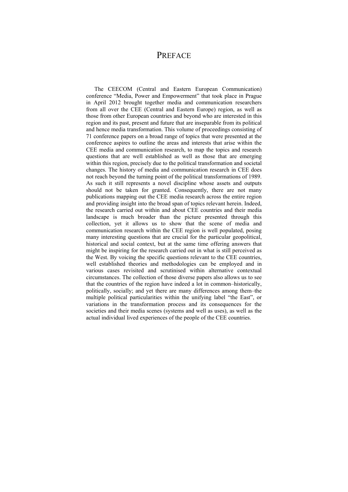### PREFACE

The CEECOM (Central and Eastern European Communication) conference "Media, Power and Empowerment" that took place in Prague in April 2012 brought together media and communication researchers from all over the CEE (Central and Eastern Europe) region, as well as those from other European countries and beyond who are interested in this region and its past, present and future that are inseparable from its political and hence media transformation. This volume of proceedings consisting of 71 conference papers on a broad range of topics that were presented at the conference aspires to outline the areas and interests that arise within the CEE media and communication research, to map the topics and research questions that are well established as well as those that are emerging within this region, precisely due to the political transformation and societal changes. The history of media and communication research in CEE does not reach beyond the turning point of the political transformations of 1989. As such it still represents a novel discipline whose assets and outputs should not be taken for granted. Consequently, there are not many publications mapping out the CEE media research across the entire region and providing insight into the broad span of topics relevant herein. Indeed, the research carried out within and about CEE countries and their media landscape is much broader than the picture presented through this collection, yet it allows us to show that the scene of media and communication research within the CEE region is well populated, posing many interesting questions that are crucial for the particular geopolitical, historical and social context, but at the same time offering answers that might be inspiring for the research carried out in what is still perceived as the West. By voicing the specific questions relevant to the CEE countries, well established theories and methodologies can be employed and in various cases revisited and scrutinised within alternative contextual circumstances. The collection of those diverse papers also allows us to see that the countries of the region have indeed a lot in common–historically, politically, socially; and yet there are many differences among them–the multiple political particularities within the unifying label "the East", or variations in the transformation process and its consequences for the societies and their media scenes (systems and well as uses), as well as the actual individual lived experiences of the people of the CEE countries.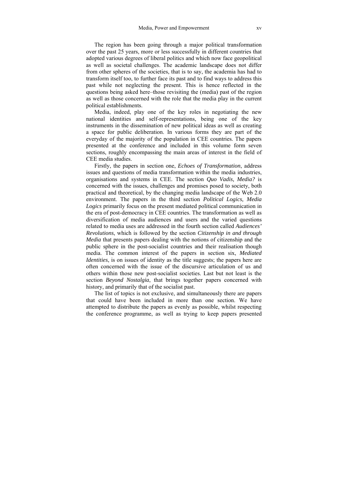The region has been going through a major political transformation over the past 25 years, more or less successfully in different countries that adopted various degrees of liberal politics and which now face geopolitical as well as societal challenges. The academic landscape does not differ from other spheres of the societies, that is to say, the academia has had to transform itself too, to further face its past and to find ways to address this past while not neglecting the present. This is hence reflected in the questions being asked here–those revisiting the (media) past of the region as well as those concerned with the role that the media play in the current political establishments.

Media, indeed, play one of the key roles in negotiating the new national identities and self-representations, being one of the key instruments in the dissemination of new political ideas as well as creating a space for public deliberation. In various forms they are part of the everyday of the majority of the population in CEE countries. The papers presented at the conference and included in this volume form seven sections, roughly encompassing the main areas of interest in the field of CEE media studies.

Firstly, the papers in section one, *Echoes of Transformation*, address issues and questions of media transformation within the media industries, organisations and systems in CEE. The section *Quo Vadis, Media?* is concerned with the issues, challenges and promises posed to society, both practical and theoretical, by the changing media landscape of the Web 2.0 environment. The papers in the third section *Political Logics, Media Logics* primarily focus on the present mediated political communication in the era of post-democracy in CEE countries. The transformation as well as diversification of media audiences and users and the varied questions related to media uses are addressed in the fourth section called *Audiences' Revolutions*, which is followed by the section *Citizenship in and through Media* that presents papers dealing with the notions of citizenship and the public sphere in the post-socialist countries and their realisation though media. The common interest of the papers in section six, *Mediated Identities*, is on issues of identity as the title suggests; the papers here are often concerned with the issue of the discursive articulation of us and others within those new post-socialist societies. Last but not least is the section *Beyond Nostalgia*, that brings together papers concerned with history, and primarily that of the socialist past.

The list of topics is not exclusive, and simultaneously there are papers that could have been included in more than one section. We have attempted to distribute the papers as evenly as possible, whilst respecting the conference programme, as well as trying to keep papers presented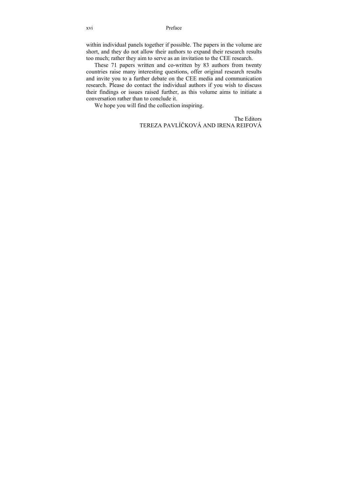within individual panels together if possible. The papers in the volume are short, and they do not allow their authors to expand their research results too much; rather they aim to serve as an invitation to the CEE research.

These 71 papers written and co-written by 83 authors from twenty countries raise many interesting questions, offer original research results and invite you to a further debate on the CEE media and communication research. Please do contact the individual authors if you wish to discuss their findings or issues raised further, as this volume aims to initiate a conversation rather than to conclude it.

We hope you will find the collection inspiring.

The Editors TEREZA PAVLÍČKOVÁ AND IRENA REIFOVÁ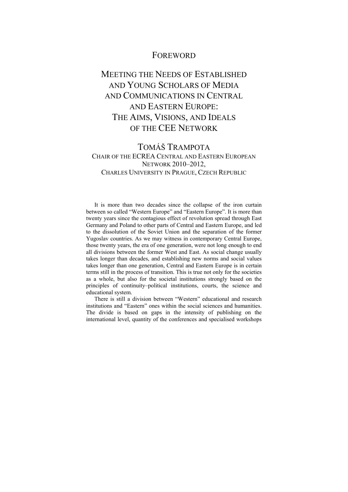### FOREWORD

# MEETING THE NEEDS OF ESTABLISHED AND YOUNG SCHOLARS OF MEDIA AND COMMUNICATIONS IN CENTRAL AND EASTERN EUROPE: THE AIMS, VISIONS, AND IDEALS OF THE CEE NETWORK

TOMÁŠ TRAMPOTA CHAIR OF THE ECREA CENTRAL AND EASTERN EUROPEAN NETWORK 2010–2012, CHARLES UNIVERSITY IN PRAGUE, CZECH REPUBLIC

It is more than two decades since the collapse of the iron curtain between so called "Western Europe" and "Eastern Europe". It is more than twenty years since the contagious effect of revolution spread through East Germany and Poland to other parts of Central and Eastern Europe, and led to the dissolution of the Soviet Union and the separation of the former Yugoslav countries. As we may witness in contemporary Central Europe, those twenty years, the era of one generation, were not long enough to end all divisions between the former West and East. As social change usually takes longer than decades, and establishing new norms and social values takes longer than one generation, Central and Eastern Europe is in certain terms still in the process of transition. This is true not only for the societies as a whole, but also for the societal institutions strongly based on the principles of continuity–political institutions, courts, the science and educational system.

There is still a division between "Western" educational and research institutions and "Eastern" ones within the social sciences and humanities. The divide is based on gaps in the intensity of publishing on the international level, quantity of the conferences and specialised workshops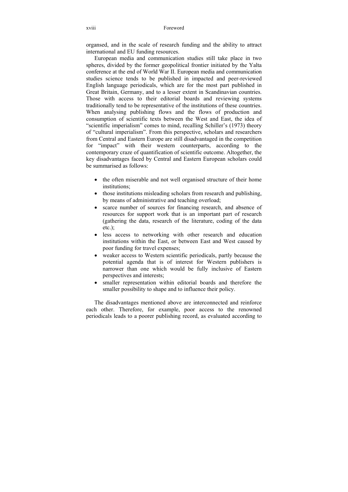organsed, and in the scale of research funding and the ability to attract international and EU funding resources.

European media and communication studies still take place in two spheres, divided by the former geopolitical frontier initiated by the Yalta conference at the end of World War II. European media and communication studies science tends to be published in impacted and peer-reviewed English language periodicals, which are for the most part published in Great Britain, Germany, and to a lesser extent in Scandinavian countries. Those with access to their editorial boards and reviewing systems traditionally tend to be representative of the institutions of these countries. When analysing publishing flows and the flows of production and consumption of scientific texts between the West and East, the idea of "scientific imperialism" comes to mind, recalling Schiller's (1973) theory of "cultural imperialism". From this perspective, scholars and researchers from Central and Eastern Europe are still disadvantaged in the competition for "impact" with their western counterparts, according to the contemporary craze of quantification of scientific outcome. Altogether, the key disadvantages faced by Central and Eastern European scholars could be summarised as follows:

- the often miserable and not well organised structure of their home institutions;
- those institutions misleading scholars from research and publishing, by means of administrative and teaching overload;
- scarce number of sources for financing research, and absence of resources for support work that is an important part of research (gathering the data, research of the literature, coding of the data etc.);
- less access to networking with other research and education institutions within the East, or between East and West caused by poor funding for travel expenses;
- weaker access to Western scientific periodicals, partly because the potential agenda that is of interest for Western publishers is narrower than one which would be fully inclusive of Eastern perspectives and interests;
- smaller representation within editorial boards and therefore the smaller possibility to shape and to influence their policy.

The disadvantages mentioned above are interconnected and reinforce each other. Therefore, for example, poor access to the renowned periodicals leads to a poorer publishing record, as evaluated according to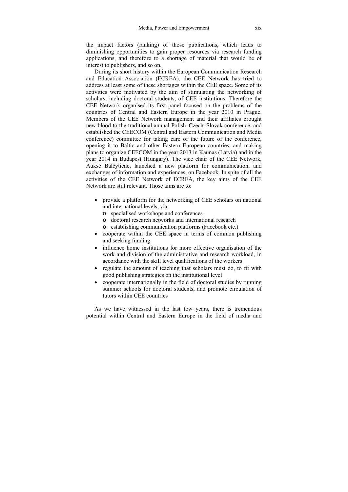the impact factors (ranking) of those publications, which leads to diminishing opportunities to gain proper resources via research funding applications, and therefore to a shortage of material that would be of interest to publishers, and so on.

During its short history within the European Communication Research and Education Association (ECREA), the CEE Network has tried to address at least some of these shortages within the CEE space. Some of its activities were motivated by the aim of stimulating the networking of scholars, including doctoral students, of CEE institutions. Therefore the CEE Network organised its first panel focused on the problems of the countries of Central and Eastern Europe in the year 2010 in Prague. Members of the CEE Network management and their affiliates brought new blood to the traditional annual Polish–Czech–Slovak conference, and established the CEECOM (Central and Eastern Communication and Media conference) committee for taking care of the future of the conference, opening it to Baltic and other Eastern European countries, and making plans to organize CEECOM in the year 2013 in Kaunas (Latvia) and in the year 2014 in Budapest (Hungary). The vice chair of the CEE Network, Auksė Balčytienė, launched a new platform for communication, and exchanges of information and experiences, on Facebook. In spite of all the activities of the CEE Network of ECREA, the key aims of the CEE Network are still relevant. Those aims are to:

- provide a platform for the networking of CEE scholars on national and international levels, via:
	- o specialised workshops and conferences
	- o doctoral research networks and international research
	- o establishing communication platforms (Facebook etc.)
- cooperate within the CEE space in terms of common publishing and seeking funding
- influence home institutions for more effective organisation of the work and division of the administrative and research workload, in accordance with the skill level qualifications of the workers
- regulate the amount of teaching that scholars must do, to fit with good publishing strategies on the institutional level
- cooperate internationally in the field of doctoral studies by running summer schools for doctoral students, and promote circulation of tutors within CEE countries

As we have witnessed in the last few years, there is tremendous potential within Central and Eastern Europe in the field of media and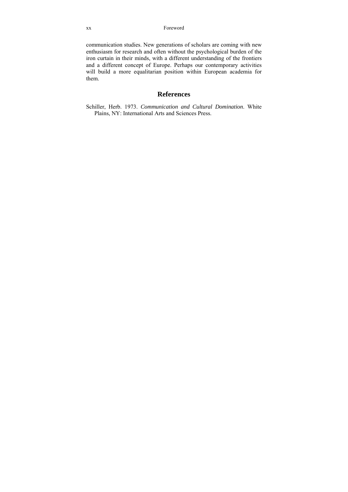communication studies. New generations of scholars are coming with new enthusiasm for research and often without the psychological burden of the iron curtain in their minds, with a different understanding of the frontiers and a different concept of Europe. Perhaps our contemporary activities will build a more equalitarian position within European academia for them.

#### **References**

Schiller, Herb. 1973. *Communication and Cultural Domination*. White Plains, NY: International Arts and Sciences Press.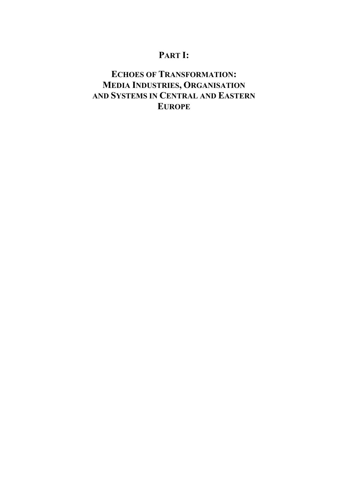# **PART I:**

# **ECHOES OF TRANSFORMATION: MEDIA INDUSTRIES, ORGANISATION AND SYSTEMS IN CENTRAL AND EASTERN EUROPE**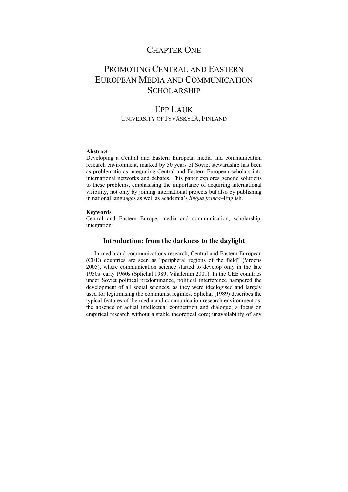### CHAPTER ONE

# PROMOTING CENTRAL AND EASTERN EUROPEAN MEDIA AND COMMUNICATION SCHOLARSHIP

### EPP LAUK UNIVERSITY OF JYVÄSKYLÄ, FINLAND

#### **Abstract**

Developing a Central and Eastern European media and communication research environment, marked by 50 years of Soviet stewardship has been as problematic as integrating Central and Eastern European scholars into international networks and debates. This paper explores generic solutions to these problems, emphasising the importance of acquiring international visibility, not only by joining international projects but also by publishing in national languages as well as academia's *lingua franca*–English.

#### **Keywords**

Central and Eastern Europe, media and communication, scholarship, integration

#### **Introduction: from the darkness to the daylight**

In media and communications research, Central and Eastern European (CEE) countries are seen as "peripheral regions of the field" (Vroons 2005), where communication science started to develop only in the late 1950s–early 1960s (Splichal 1989; Vihalemm 2001). In the CEE countries under Soviet political predominance, political interference hampered the development of all social sciences, as they were ideologised and largely used for legitimising the communist regimes. Splichal (1989) describes the typical features of the media and communication research environment as: the absence of actual intellectual competition and dialogue; a focus on empirical research without a stable theoretical core; unavailability of any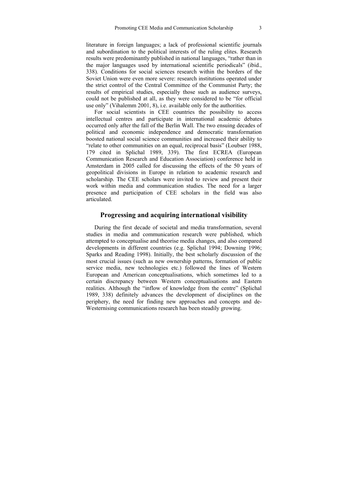literature in foreign languages; a lack of professional scientific journals and subordination to the political interests of the ruling elites. Research results were predominantly published in national languages, "rather than in the major languages used by international scientific periodicals" (ibid., 338). Conditions for social sciences research within the borders of the Soviet Union were even more severe: research institutions operated under the strict control of the Central Committee of the Communist Party; the results of empirical studies, especially those such as audience surveys, could not be published at all, as they were considered to be "for official use only" (Vihalemm 2001, 8), i.e. available only for the authorities.

For social scientists in CEE countries the possibility to access intellectual centres and participate in international academic debates occurred only after the fall of the Berlin Wall. The two ensuing decades of political and economic independence and democratic transformation boosted national social science communities and increased their ability to "relate to other communities on an equal, reciprocal basis" (Loubser 1988, 179 cited in Splichal 1989, 339). The first ECREA (European Communication Research and Education Association) conference held in Amsterdam in 2005 called for discussing the effects of the 50 years of geopolitical divisions in Europe in relation to academic research and scholarship. The CEE scholars were invited to review and present their work within media and communication studies. The need for a larger presence and participation of CEE scholars in the field was also articulated.

#### **Progressing and acquiring international visibility**

During the first decade of societal and media transformation, several studies in media and communication research were published, which attempted to conceptualise and theorise media changes, and also compared developments in different countries (e.g. Splichal 1994; Downing 1996; Sparks and Reading 1998). Initially, the best scholarly discussion of the most crucial issues (such as new ownership patterns, formation of public service media, new technologies etc.) followed the lines of Western European and American conceptualisations, which sometimes led to a certain discrepancy between Western conceptualisations and Eastern realities. Although the "inflow of knowledge from the centre" (Splichal 1989, 338) definitely advances the development of disciplines on the periphery, the need for finding new approaches and concepts and de-Westernising communications research has been steadily growing.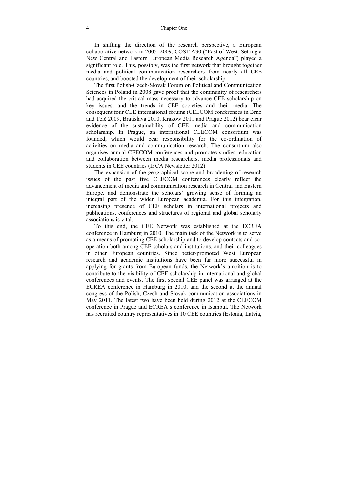In shifting the direction of the research perspective, a European collaborative network in 2005–2009, COST A30 ("East of West: Setting a New Central and Eastern European Media Research Agenda") played a significant role. This, possibly, was the first network that brought together media and political communication researchers from nearly all CEE countries, and boosted the development of their scholarship.

The first Polish-Czech-Slovak Forum on Political and Communication Sciences in Poland in 2008 gave proof that the community of researchers had acquired the critical mass necessary to advance CEE scholarship on key issues, and the trends in CEE societies and their media. The consequent four CEE international forums (CEECOM conferences in Brno and Telč 2009, Bratislava 2010, Krakow 2011 and Prague 2012) bear clear evidence of the sustainability of CEE media and communication scholarship. In Prague, an international CEECOM consortium was founded, which would bear responsibility for the co-ordination of activities on media and communication research. The consortium also organises annual CEECOM conferences and promotes studies, education and collaboration between media researchers, media professionals and students in CEE countries (IFCA Newsletter 2012).

The expansion of the geographical scope and broadening of research issues of the past five CEECOM conferences clearly reflect the advancement of media and communication research in Central and Eastern Europe, and demonstrate the scholars' growing sense of forming an integral part of the wider European academia. For this integration, increasing presence of CEE scholars in international projects and publications, conferences and structures of regional and global scholarly associations is vital.

To this end, the CEE Network was established at the ECREA conference in Hamburg in 2010. The main task of the Network is to serve as a means of promoting CEE scholarship and to develop contacts and cooperation both among CEE scholars and institutions, and their colleagues in other European countries. Since better-promoted West European research and academic institutions have been far more successful in applying for grants from European funds, the Network's ambition is to contribute to the visibility of CEE scholarship in international and global conferences and events. The first special CEE panel was arranged at the ECREA conference in Hamburg in 2010, and the second at the annual congress of the Polish, Czech and Slovak communication associations in May 2011. The latest two have been held during 2012 at the CEECOM conference in Prague and ECREA's conference in Istanbul. The Network has recruited country representatives in 10 CEE countries (Estonia, Latvia,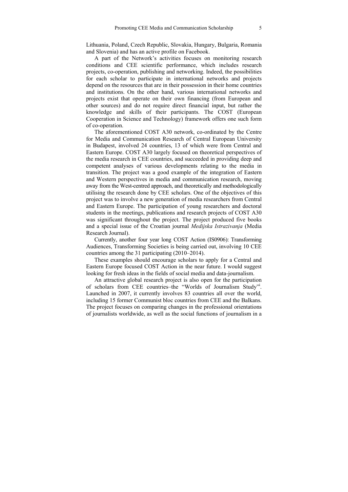Lithuania, Poland, Czech Republic, Slovakia, Hungary, Bulgaria, Romania and Slovenia) and has an active profile on Facebook.

A part of the Network's activities focuses on monitoring research conditions and CEE scientific performance, which includes research projects, co-operation, publishing and networking. Indeed, the possibilities for each scholar to participate in international networks and projects depend on the resources that are in their possession in their home countries and institutions. On the other hand, various international networks and projects exist that operate on their own financing (from European and other sources) and do not require direct financial input, but rather the knowledge and skills of their participants. The COST (European Cooperation in Science and Technology) framework offers one such form of co-operation.

The aforementioned COST A30 network, co-ordinated by the Centre for Media and Communication Research of Central European University in Budapest, involved 24 countries, 13 of which were from Central and Eastern Europe. COST A30 largely focused on theoretical perspectives of the media research in CEE countries, and succeeded in providing deep and competent analyses of various developments relating to the media in transition. The project was a good example of the integration of Eastern and Western perspectives in media and communication research, moving away from the West-centred approach, and theoretically and methodologically utilising the research done by CEE scholars. One of the objectives of this project was to involve a new generation of media researchers from Central and Eastern Europe. The participation of young researchers and doctoral students in the meetings, publications and research projects of COST A30 was significant throughout the project. The project produced five books and a special issue of the Croatian journal *Medijska Istrazivanja* (Media Research Journal).

Currently, another four year long COST Action (IS0906): Transforming Audiences, Transforming Societies is being carried out, involving 10 CEE countries among the 31 participating (2010–2014).

These examples should encourage scholars to apply for a Central and Eastern Europe focused COST Action in the near future. I would suggest looking for fresh ideas in the fields of social media and data-journalism.

An attractive global research project is also open for the participation of scholars from CEE countries–the "Worlds of Journalism Study"i . Launched in 2007, it currently involves 83 countries all over the world, including 15 former Communist bloc countries from CEE and the Balkans. The project focuses on comparing changes in the professional orientations of journalists worldwide, as well as the social functions of journalism in a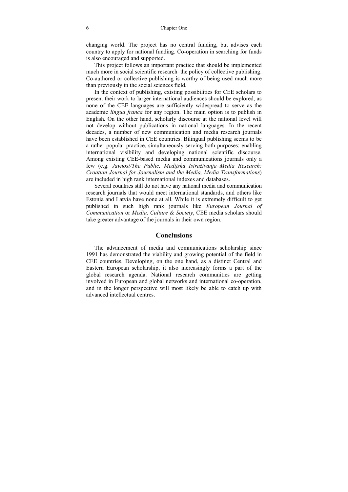changing world. The project has no central funding, but advises each country to apply for national funding. Co-operation in searching for funds is also encouraged and supported.

This project follows an important practice that should be implemented much more in social scientific research–the policy of collective publishing. Co-authored or collective publishing is worthy of being used much more than previously in the social sciences field.

In the context of publishing, existing possibilities for CEE scholars to present their work to larger international audiences should be explored, as none of the CEE languages are sufficiently widespread to serve as the academic *lingua franca* for any region. The main option is to publish in English. On the other hand, scholarly discourse at the national level will not develop without publications in national languages. In the recent decades, a number of new communication and media research journals have been established in CEE countries. Bilingual publishing seems to be a rather popular practice, simultaneously serving both purposes: enabling international visibility and developing national scientific discourse. Among existing CEE-based media and communications journals only a few (e.g. *Javnost/The Public, Medijska Istraživanja–Media Research: Croatian Journal for Journalism and the Media, Media Transformations*) are included in high rank international indexes and databases.

Several countries still do not have any national media and communication research journals that would meet international standards, and others like Estonia and Latvia have none at all. While it is extremely difficult to get published in such high rank journals like *European Journal of Communication* or *Media, Culture & Society*, CEE media scholars should take greater advantage of the journals in their own region.

#### **Conclusions**

The advancement of media and communications scholarship since 1991 has demonstrated the viability and growing potential of the field in CEE countries. Developing, on the one hand, as a distinct Central and Eastern European scholarship, it also increasingly forms a part of the global research agenda. National research communities are getting involved in European and global networks and international co-operation, and in the longer perspective will most likely be able to catch up with advanced intellectual centres.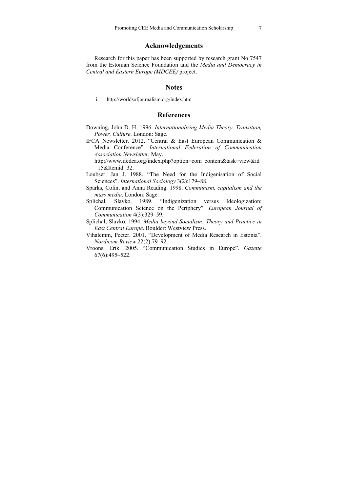#### **Acknowledgements**

Research for this paper has been supported by research grant No 7547 from the Estonian Science Foundation and the *Media and Democracy in Central and Eastern Europe (MDCEE)* project.

#### **Notes**

i. http://worldsofjournalism.org/index.htm

#### **References**

- Downing, John D. H. 1996. *Internationalizing Media Theory. Transition, Power, Culture*. London: Sage.
- IFCA Newsletter. 2012. "Central & East European Communication & Media Conference". *International Federation of Communication Association Newsletter*, May.

http://www.ifedca.org/index.php?option=com\_content&task=view&id  $=15$ &Itemid $=32$ .

- Loubser, Jan J. 1988. "The Need for the Indigenisation of Social Sciences". *International Sociology* 3(2):179–88.
- Sparks, Colin, and Anna Reading. 1998. *Communism, capitalism and the mass media*. London: Sage.
- Splichal, Slavko. 1989. "Indigenization versus Ideologization: Communication Science on the Periphery". *European Journal of Communication* 4(3):329–59.
- Splichal, Slavko. 1994. *Media beyond Socialism: Theory and Practice in East Central Europe*. Boulder: Westview Press.
- Vihalemm, Peeter. 2001. "Development of Media Research in Estonia". *Nordicom Review* 22(2):79–92.
- Vroons, Erik. 2005. "Communication Studies in Europe". *Gazette* 67(6):495–522.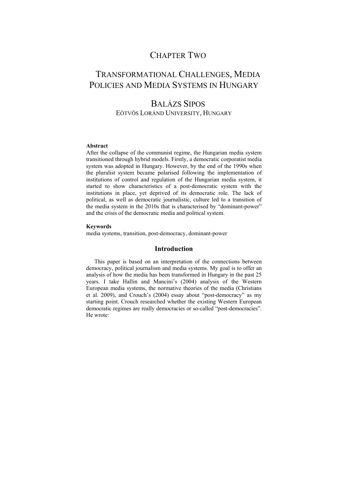### CHAPTER TWO

### TRANSFORMATIONAL CHALLENGES, MEDIA POLICIES AND MEDIA SYSTEMS IN HUNGARY

BALÁZS SIPOS EÖTVÖS LORÁND UNIVERSITY, HUNGARY

#### **Abstract**

After the collapse of the communist regime, the Hungarian media system transitioned through hybrid models. Firstly, a democratic corporatist media system was adopted in Hungary. However, by the end of the 1990s when the pluralist system became polarised following the implementation of institutions of control and regulation of the Hungarian media system, it started to show characteristics of a post-democratic system with the institutions in place, yet deprived of its democratic role. The lack of political, as well as democratic journalistic, culture led to a transition of the media system in the 2010s that is characterised by "dominant-power" and the crisis of the democratic media and political system.

#### **Keywords**

media systems, transition, post-democracy, dominant-power

#### **Introduction**

This paper is based on an interpretation of the connections between democracy, political journalism and media systems. My goal is to offer an analysis of how the media has been transformed in Hungary in the past 25 years. I take Hallin and Mancini's (2004) analysis of the Western European media systems, the normative theories of the media (Christians et al. 2009), and Crouch's (2004) essay about "post-democracy" as my starting point. Crouch researched whether the existing Western European democratic regimes are really democracies or so-called "post-democracies". He wrote: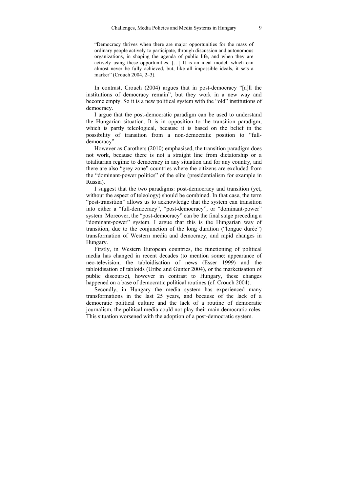"Democracy thrives when there are major opportunities for the mass of ordinary people actively to participate, through discussion and autonomous organizations, in shaping the agenda of public life, and when they are actively using these opportunities. […] It is an ideal model, which can almost never be fully achieved, but, like all impossible ideals, it sets a marker" (Crouch 2004, 2–3).

In contrast, Crouch (2004) argues that in post-democracy "[a]ll the institutions of democracy remain", but they work in a new way and become empty. So it is a new political system with the "old" institutions of democracy.

I argue that the post-democratic paradigm can be used to understand the Hungarian situation. It is in opposition to the transition paradigm, which is partly teleological, because it is based on the belief in the possibility of transition from a non-democratic position to "fulldemocracy".

However as Carothers (2010) emphasised, the transition paradigm does not work, because there is not a straight line from dictatorship or a totalitarian regime to democracy in any situation and for any country, and there are also "grey zone" countries where the citizens are excluded from the "dominant-power politics" of the elite (presidentialism for example in Russia).

I suggest that the two paradigms: post-democracy and transition (yet, without the aspect of teleology) should be combined. In that case, the term "post-transition" allows us to acknowledge that the system can transition into either a "full-democracy", "post-democracy", or "dominant-power" system. Moreover, the "post-democracy" can be the final stage preceding a "dominant-power" system. I argue that this is the Hungarian way of transition, due to the conjunction of the long duration ("longue durée") transformation of Western media and democracy, and rapid changes in Hungary.

Firstly, in Western European countries, the functioning of political media has changed in recent decades (to mention some: appearance of neo-television, the tabloidisation of news (Esser 1999) and the tabloidisation of tabloids (Uribe and Gunter 2004), or the marketisation of public discourse), however in contrast to Hungary, these changes happened on a base of democratic political routines (cf. Crouch 2004).

Secondly, in Hungary the media system has experienced many transformations in the last 25 years, and because of the lack of a democratic political culture and the lack of a routine of democratic journalism, the political media could not play their main democratic roles. This situation worsened with the adoption of a post-democratic system.